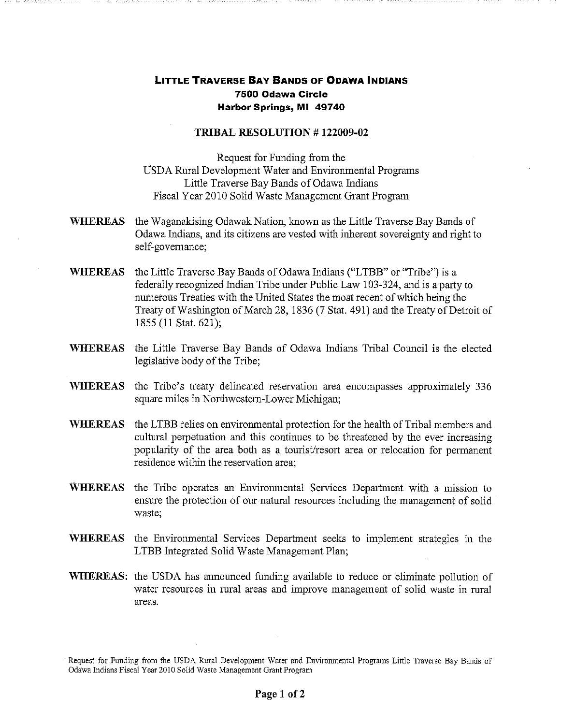## **LITTLE TRAVERSE BAY BANDS OF ODAWA INDIANS 7500 Odawa Circle Harbor Springs, MI 49740**

## **TRIBAL RESOLUTION # 122009-02**

Request for Funding from the USDA Rural Development Water and Environmental Programs Little Traverse Bay Bands of Odawa Indians Fiscal Year 2010 Solid Waste Management Grant Program

- **WHEREAS**  the Waganakising Odawak Nation, known as the Little Traverse Bay Bands of Odawa Indians, and its citizens are vested with inherent sovereignty and right to self-governance;
- **WHEREAS**  the Little Traverse Bay Bands of Odawa Indians ("LTBB" or "Tribe") is a federally recognized Indian Tribe under Public Law 103-324, and is a party to numerous Treaties with the United States the most recent of which being the Treaty of Washington of March 28, 1836 (7 Stat. 491) and the Treaty of Detroit of 1855 (11 Stat. 621);
- **WHEREAS**  the Little Traverse Bay Bands of Odawa Indians Tribal Council is the elected legislative body of the Tribe;
- **WHEREAS**  the Tribe's treaty delineated reservation area encompasses approximately 336 square miles in Northwestern-Lower Michigan;
- **WHEREAS**  the LTBB relies on environmental protection for the health of Tribal members and cultural perpetuation and this continues to be threatened by the ever increasing popularity of the area both as a tourist/resort area or relocation for permanent residence within the reservation area;
- **WHEREAS** the Tribe operates an Environmental Services Department with a mission to ensure the protection of our natural resources including the management of solid waste;
- **WHEREAS**  the Environmental Services Department seeks to implement strategies in the LTBB Integrated Solid Waste Management Plan;
- WHEREAS: the USDA has announced funding available to reduce or eliminate pollution of water resources in rural areas and improve management of solid waste in rural areas.

Request for Funding from the USDA Rural Development Water and Environmental Programs Little Traverse Bay Bands of Odawa Indians Fiscal Year 2010 Solid Waste Management Grant Program